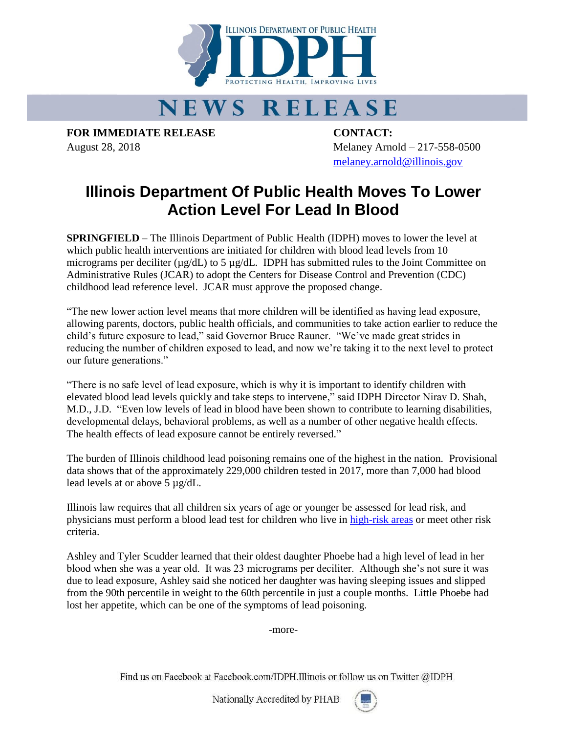

## **NEWS RELEASE**

**FOR IMMEDIATE RELEASE CONTACT:**

August 28, 2018 Melaney Arnold – 217-558-0500 [melaney.arnold@illinois.gov](mailto:melaney.arnold@illinois.gov)

## **Illinois Department Of Public Health Moves To Lower Action Level For Lead In Blood**

**SPRINGFIELD** – The Illinois Department of Public Health (IDPH) moves to lower the level at which public health interventions are initiated for children with blood lead levels from 10 micrograms per deciliter (µg/dL) to 5 µg/dL. IDPH has submitted rules to the Joint Committee on Administrative Rules (JCAR) to adopt the Centers for Disease Control and Prevention (CDC) childhood lead reference level. JCAR must approve the proposed change.

"The new lower action level means that more children will be identified as having lead exposure, allowing parents, doctors, public health officials, and communities to take action earlier to reduce the child's future exposure to lead," said Governor Bruce Rauner. "We've made great strides in reducing the number of children exposed to lead, and now we're taking it to the next level to protect our future generations."

"There is no safe level of lead exposure, which is why it is important to identify children with elevated blood lead levels quickly and take steps to intervene," said IDPH Director Nirav D. Shah, M.D., J.D. "Even low levels of lead in blood have been shown to contribute to learning disabilities, developmental delays, behavioral problems, as well as a number of other negative health effects. The health effects of lead exposure cannot be entirely reversed."

The burden of Illinois childhood lead poisoning remains one of the highest in the nation. Provisional data shows that of the approximately 229,000 children tested in 2017, more than 7,000 had blood lead levels at or above 5 µg/dL.

Illinois law requires that all children six years of age or younger be assessed for lead risk, and physicians must perform a blood lead test for children who live in [high-risk areas](http://dph.illinois.gov/sites/default/files/forms/childhood-lead-risk-questionaire-and-guidelines-042116.pdf) or meet other risk criteria.

Ashley and Tyler Scudder learned that their oldest daughter Phoebe had a high level of lead in her blood when she was a year old. It was 23 micrograms per deciliter. Although she's not sure it was due to lead exposure, Ashley said she noticed her daughter was having sleeping issues and slipped from the 90th percentile in weight to the 60th percentile in just a couple months. Little Phoebe had lost her appetite, which can be one of the symptoms of lead poisoning.

-more-

Find us on Facebook at Facebook.com/IDPH.Illinois or follow us on Twitter @IDPH

Nationally Accredited by PHAB